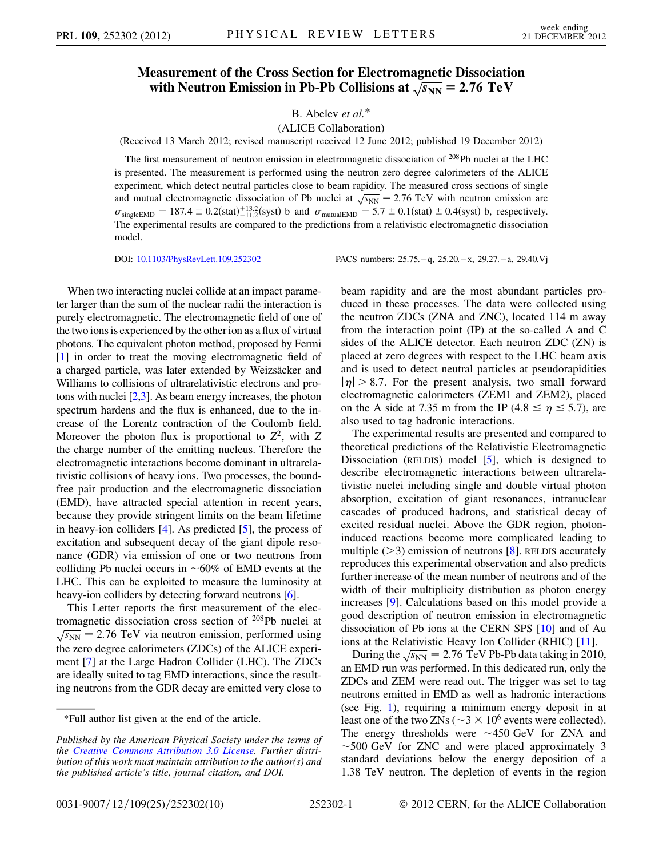## with Neutron Emission in Pb-Pb Collisions at  $\sqrt{s_{NN}} = 2.76 \text{ TeV}$

## B. Abelev et al.\*

(ALICE Collaboration)

(Received 13 March 2012; revised manuscript received 12 June 2012; published 19 December 2012)

The first measurement of neutron emission in electromagnetic dissociation of  $^{208}Pb$  nuclei at the LHC is presented. The measurement is performed using the neutron zero degree calorimeters of the ALICE experiment, which detect neutral particles close to beam rapidity. The measured cross sections of single and mutual electromagnetic dissociation of Pb nuclei at  $\sqrt{s_{NN}}$  = 2.76 TeV with neutron emission are  $\sigma_{\text{singleEMD}} = 187.4 \pm 0.2(\text{stat})^{+13.2}_{-11.2}(\text{syst})$  b and  $\sigma_{\text{mutualEMD}} = 5.7 \pm 0.1(\text{stat}) \pm 0.4(\text{syst})$  b, respectively. The experimental results are compared to the predictions from a relativistic electromagnetic dissociation model.

DOI: [10.1103/PhysRevLett.109.252302](http://dx.doi.org/10.1103/PhysRevLett.109.252302)

q, 25.20.-x, 29.27.-a, 29.40.Vj

When two interacting nuclei collide at an impact parameter larger than the sum of the nuclear radii the interaction is purely electromagnetic. The electromagnetic field of one of the two ions is experienced by the other ion as a flux of virtual photons. The equivalent photon method, proposed by Fermi [\[1](#page-3-0)] in order to treat the moving electromagnetic field of a charged particle, was later extended by Weizsäcker and Williams to collisions of ultrarelativistic electrons and protons with nuclei [\[2,](#page-3-1)[3](#page-4-0)]. As beam energy increases, the photon spectrum hardens and the flux is enhanced, due to the increase of the Lorentz contraction of the Coulomb field. Moreover the photon flux is proportional to  $Z^2$ , with Z the charge number of the emitting nucleus. Therefore the electromagnetic interactions become dominant in ultrarelativistic collisions of heavy ions. Two processes, the boundfree pair production and the electromagnetic dissociation (EMD), have attracted special attention in recent years, because they provide stringent limits on the beam lifetime in heavy-ion colliders [[4](#page-4-1)]. As predicted [\[5](#page-4-2)], the process of excitation and subsequent decay of the giant dipole resonance (GDR) via emission of one or two neutrons from colliding Pb nuclei occurs in  $~60\%$  of EMD events at the LHC. This can be exploited to measure the luminosity at heavy-ion colliders by detecting forward neutrons [\[6\]](#page-4-3).

This Letter reports the first measurement of the electromagnetic dissociation cross section of 208Pb nuclei at  $\sqrt{s_{NN}}$  = 2.76 TeV via neutron emission, performed using the zero degree calorimeters (ZDCs) of the ALICE experiment [[7\]](#page-4-4) at the Large Hadron Collider (LHC). The ZDCs are ideally suited to tag EMD interactions, since the resulting neutrons from the GDR decay are emitted very close to beam rapidity and are the most abundant particles produced in these processes. The data were collected using the neutron ZDCs (ZNA and ZNC), located 114 m away from the interaction point (IP) at the so-called A and C sides of the ALICE detector. Each neutron ZDC (ZN) is placed at zero degrees with respect to the LHC beam axis and is used to detect neutral particles at pseudorapidities  $|\eta| > 8.7$ . For the present analysis, two small forward electromagnetic calorimeters (ZEM1 and ZEM2), placed on the A side at 7.35 m from the IP (4.8  $\leq \eta \leq$  5.7), are also used to tag hadronic interactions.

The experimental results are presented and compared to theoretical predictions of the Relativistic Electromagnetic Dissociation (RELDIS) model [\[5\]](#page-4-2), which is designed to describe electromagnetic interactions between ultrarelativistic nuclei including single and double virtual photon absorption, excitation of giant resonances, intranuclear cascades of produced hadrons, and statistical decay of excited residual nuclei. Above the GDR region, photoninduced reactions become more complicated leading to multiple  $(>3)$  emission of neutrons [[8\]](#page-4-5). RELDIS accurately reproduces this experimental observation and also predicts further increase of the mean number of neutrons and of the width of their multiplicity distribution as photon energy increases [\[9](#page-4-6)]. Calculations based on this model provide a good description of neutron emission in electromagnetic dissociation of Pb ions at the CERN SPS [\[10\]](#page-4-7) and of Au ions at the Relativistic Heavy Ion Collider (RHIC) [[11](#page-4-8)].

During the  $\sqrt{s_{NN}}$  = 2.76 TeV Pb-Pb data taking in 2010, an EMD run was performed. In this dedicated run, only the ZDCs and ZEM were read out. The trigger was set to tag neutrons emitted in EMD as well as hadronic interactions (see Fig. [1\)](#page-1-0), requiring a minimum energy deposit in at least one of the two ZNs ( $\sim$ 3  $\times$  10<sup>6</sup> events were collected). The energy thresholds were  $\sim$ 450 GeV for ZNA and  $\sim$  500 GeV for ZNC and were placed approximately 3 standard deviations below the energy deposition of a 1.38 TeV neutron. The depletion of events in the region

<sup>\*</sup>Full author list given at the end of the article.

Published by the American Physical Society under the terms of the [Creative Commons Attribution 3.0 License.](http://creativecommons.org/licenses/by/3.0/) Further distribution of this work must maintain attribution to the author(s) and the published article's title, journal citation, and DOI.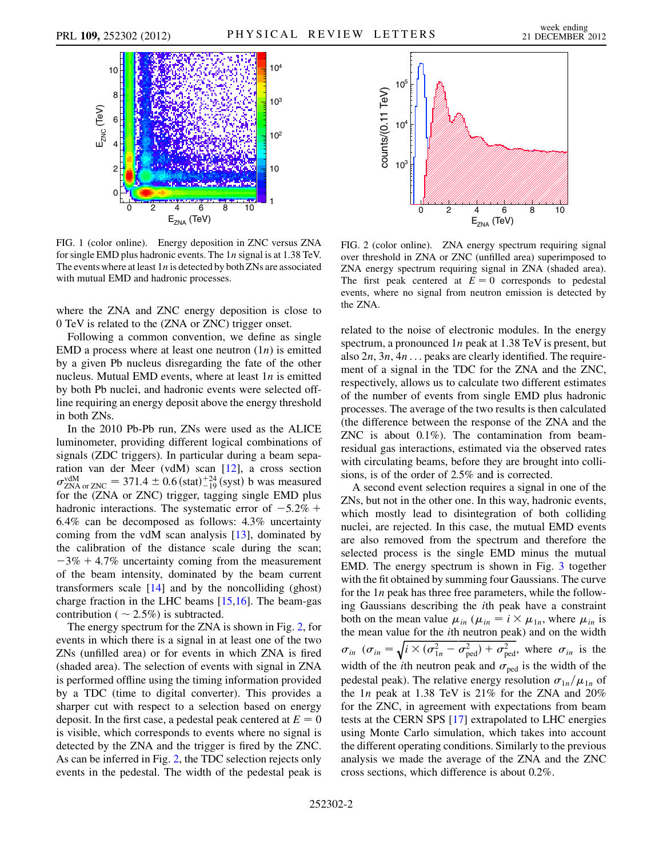<span id="page-1-0"></span>

FIG. 1 (color online). Energy deposition in ZNC versus ZNA for single EMD plus hadronic events. The 1n signal is at 1.38 TeV. The events where at least  $1n$  is detected by both ZNs are associated with mutual EMD and hadronic processes.

where the ZNA and ZNC energy deposition is close to 0 TeV is related to the (ZNA or ZNC) trigger onset.

Following a common convention, we define as single EMD a process where at least one neutron  $(1n)$  is emitted by a given Pb nucleus disregarding the fate of the other nucleus. Mutual EMD events, where at least  $1n$  is emitted by both Pb nuclei, and hadronic events were selected offline requiring an energy deposit above the energy threshold in both ZNs.

In the 2010 Pb-Pb run, ZNs were used as the ALICE luminometer, providing different logical combinations of signals (ZDC triggers). In particular during a beam separation van der Meer (vdM) scan [\[12\]](#page-4-9), a cross section  $\sigma_{ZNA \text{ or } ZNC}^{\text{vdM}} = 371.4 \pm 0.6 \text{ (stat)}_{-19}^{+24} \text{ (syst) b was measured}$ for the (ZNA or ZNC) trigger, tagging single EMD plus hadronic interactions. The systematic error of  $-5.2\%$  + 6:4% can be decomposed as follows: 4.3% uncertainty coming from the vdM scan analysis [\[13\]](#page-4-10), dominated by the calibration of the distance scale during the scan;  $-3\% + 4.7\%$  uncertainty coming from the measurement of the beam intensity, dominated by the beam current transformers scale [[14](#page-4-11)] and by the noncolliding (ghost) charge fraction in the LHC beams [\[15](#page-4-12)[,16\]](#page-4-13). The beam-gas contribution ( $\sim$  2.5%) is subtracted.

The energy spectrum for the ZNA is shown in Fig. [2,](#page-1-1) for events in which there is a signal in at least one of the two ZNs (unfilled area) or for events in which ZNA is fired (shaded area). The selection of events with signal in ZNA is performed offline using the timing information provided by a TDC (time to digital converter). This provides a sharper cut with respect to a selection based on energy deposit. In the first case, a pedestal peak centered at  $E = 0$ is visible, which corresponds to events where no signal is detected by the ZNA and the trigger is fired by the ZNC. As can be inferred in Fig. [2](#page-1-1), the TDC selection rejects only events in the pedestal. The width of the pedestal peak is

<span id="page-1-1"></span>

FIG. 2 (color online). ZNA energy spectrum requiring signal over threshold in ZNA or ZNC (unfilled area) superimposed to ZNA energy spectrum requiring signal in ZNA (shaded area). The first peak centered at  $E = 0$  corresponds to pedestal events, where no signal from neutron emission is detected by the ZNA.

related to the noise of electronic modules. In the energy spectrum, a pronounced 1n peak at 1.38 TeV is present, but also  $2n, 3n, 4n$ ... peaks are clearly identified. The requirement of a signal in the TDC for the ZNA and the ZNC, respectively, allows us to calculate two different estimates of the number of events from single EMD plus hadronic processes. The average of the two results is then calculated (the difference between the response of the ZNA and the ZNC is about 0.1%). The contamination from beamresidual gas interactions, estimated via the observed rates with circulating beams, before they are brought into collisions, is of the order of 2.5% and is corrected.

A second event selection requires a signal in one of the ZNs, but not in the other one. In this way, hadronic events, which mostly lead to disintegration of both colliding nuclei, are rejected. In this case, the mutual EMD events are also removed from the spectrum and therefore the selected process is the single EMD minus the mutual EMD. The energy spectrum is shown in Fig. [3](#page-2-0) together with the fit obtained by summing four Gaussians. The curve for the 1n peak has three free parameters, while the following Gaussians describing the ith peak have a constraint both on the mean value  $\mu_{in}$  ( $\mu_{in} = i \times \mu_{1n}$ , where  $\mu_{in}$  is the mean value for the ith neutron peak) and on the width  $\sigma_{in}$   $(\sigma_{in} = \sqrt{i \times (\sigma_{1n}^2 - \sigma_{\text{ped}}^2) + \sigma_{\text{ped}}^2}$ , where  $\sigma_{in}$  is the width of the *i*th neutron peak and  $\sigma_{\text{ped}}$  is the width of the pedestal peak). The relative energy resolution  $\sigma_{1n}/\mu_{1n}$  of the  $1n$  peak at 1.38 TeV is 21% for the ZNA and 20% for the ZNC, in agreement with expectations from beam tests at the CERN SPS [\[17\]](#page-4-14) extrapolated to LHC energies using Monte Carlo simulation, which takes into account the different operating conditions. Similarly to the previous analysis we made the average of the ZNA and the ZNC cross sections, which difference is about 0.2%.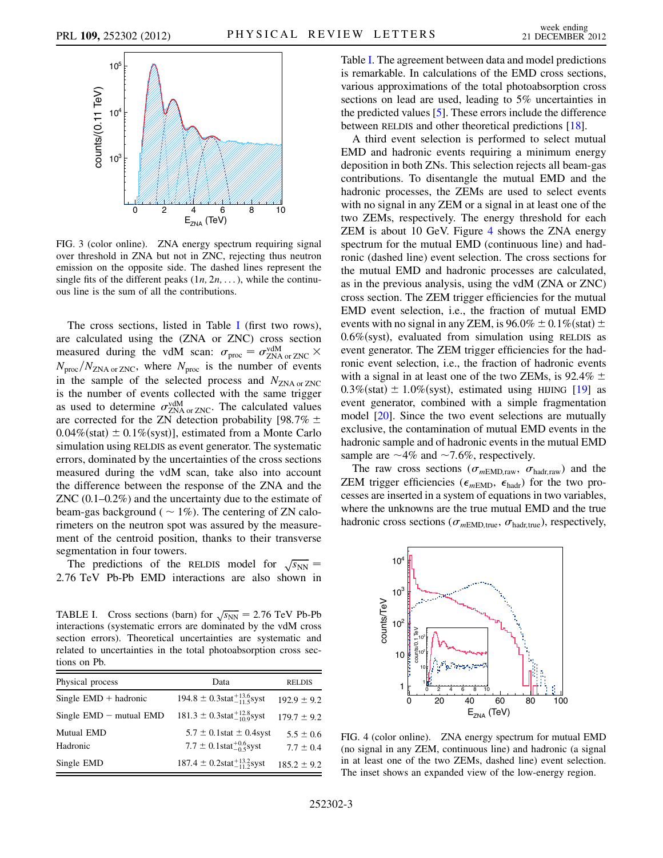<span id="page-2-0"></span>

FIG. 3 (color online). ZNA energy spectrum requiring signal over threshold in ZNA but not in ZNC, rejecting thus neutron emission on the opposite side. The dashed lines represent the single fits of the different peaks  $(1n, 2n, ...)$ , while the continuous line is the sum of all the contributions.

The cross sections, listed in Table [I](#page-2-1) (first two rows), are calculated using the (ZNA or ZNC) cross section measured during the vdM scan:  $\sigma_{\text{proc}} = \sigma_{\text{ZNA or ZNC}}^{\text{vdM}} \times$  $N_{\text{proc}}/N_{\text{ZNA or ZNC}}$ , where  $N_{\text{proc}}$  is the number of events in the sample of the selected process and  $N_{ZNA \text{ or } ZNC}$ is the number of events collected with the same trigger as used to determine  $\sigma_{\text{ZNA or ZNC}}^{\text{vdM}}$ . The calculated values are corrected for the ZN detection probability [98.7%  $\pm$  $0.04\%$ (stat)  $\pm 0.1\%$ (syst)], estimated from a Monte Carlo simulation using RELDIS as event generator. The systematic errors, dominated by the uncertainties of the cross sections measured during the vdM scan, take also into account the difference between the response of the ZNA and the ZNC (0.1–0.2%) and the uncertainty due to the estimate of beam-gas background ( $\sim 1\%$ ). The centering of ZN calorimeters on the neutron spot was assured by the measurement of the centroid position, thanks to their transverse segmentation in four towers.

The predictions of the RELDIS model for  $\sqrt{s_{NN}} =$ 2:76 TeV Pb-Pb EMD interactions are also shown in

<span id="page-2-1"></span>TABLE I. Cross sections (barn) for  $\sqrt{s_{NN}} = 2.76$  TeV Pb-Pb interactions (systematic errors are dominated by the vdM cross section errors). Theoretical uncertainties are systematic and related to uncertainties in the total photoabsorption cross sections on Pb.

| Physical process            | Data                                         | <b>RELDIS</b>   |
|-----------------------------|----------------------------------------------|-----------------|
| Single $EMD + hadronic$     | $194.8 \pm 0.3$ stat $^{+13.6}_{-11.5}$ syst | $192.9 \pm 9.2$ |
| Single $EMD$ – mutual $EMD$ | $181.3 \pm 0.3$ stat $^{+12.8}_{-10.9}$ syst | $179.7 \pm 9.2$ |
| Mutual EMD                  | $5.7 \pm 0.1$ stat $\pm 0.4$ syst            | $5.5 \pm 0.6$   |
| Hadronic                    | $7.7 \pm 0.1$ stat $^{+0.6}_{-0.5}$ syst     | $7.7 \pm 0.4$   |
| Single EMD                  | $187.4 \pm 0.2$ stat $^{+13.2}_{-11.2}$ syst | $185.2 \pm 9.2$ |

Table [I.](#page-2-1) The agreement between data and model predictions is remarkable. In calculations of the EMD cross sections, various approximations of the total photoabsorption cross sections on lead are used, leading to 5% uncertainties in the predicted values [\[5](#page-4-2)]. These errors include the difference between RELDIS and other theoretical predictions [\[18\]](#page-4-15).

A third event selection is performed to select mutual EMD and hadronic events requiring a minimum energy deposition in both ZNs. This selection rejects all beam-gas contributions. To disentangle the mutual EMD and the hadronic processes, the ZEMs are used to select events with no signal in any ZEM or a signal in at least one of the two ZEMs, respectively. The energy threshold for each ZEM is about 10 GeV. Figure [4](#page-2-2) shows the ZNA energy spectrum for the mutual EMD (continuous line) and hadronic (dashed line) event selection. The cross sections for the mutual EMD and hadronic processes are calculated, as in the previous analysis, using the vdM (ZNA or ZNC) cross section. The ZEM trigger efficiencies for the mutual EMD event selection, i.e., the fraction of mutual EMD events with no signal in any ZEM, is  $96.0\% \pm 0.1\%$  (stat)  $\pm$  $0.6\%$ (syst), evaluated from simulation using RELDIS as event generator. The ZEM trigger efficiencies for the hadronic event selection, i.e., the fraction of hadronic events with a signal in at least one of the two ZEMs, is 92.4%  $\pm$  $0.3\%$ (stat)  $\pm 1.0\%$ (syst), estimated using HIJING [\[19\]](#page-4-16) as event generator, combined with a simple fragmentation model [[20](#page-4-17)]. Since the two event selections are mutually exclusive, the contamination of mutual EMD events in the hadronic sample and of hadronic events in the mutual EMD sample are  $\sim$  4% and  $\sim$  7.6%, respectively.

The raw cross sections ( $\sigma_{m\text{EMD,raw}}, \sigma_{\text{hadr,raw}}$ ) and the ZEM trigger efficiencies ( $\epsilon_{mEMD}$ ,  $\epsilon_{\text{hadr}}$ ) for the two processes are inserted in a system of equations in two variables, where the unknowns are the true mutual EMD and the true hadronic cross sections ( $\sigma_{m\text{EMD,true}}$ ,  $\sigma_{\text{hadr,true}}$ ), respectively,

<span id="page-2-2"></span>

FIG. 4 (color online). ZNA energy spectrum for mutual EMD (no signal in any ZEM, continuous line) and hadronic (a signal in at least one of the two ZEMs, dashed line) event selection. The inset shows an expanded view of the low-energy region.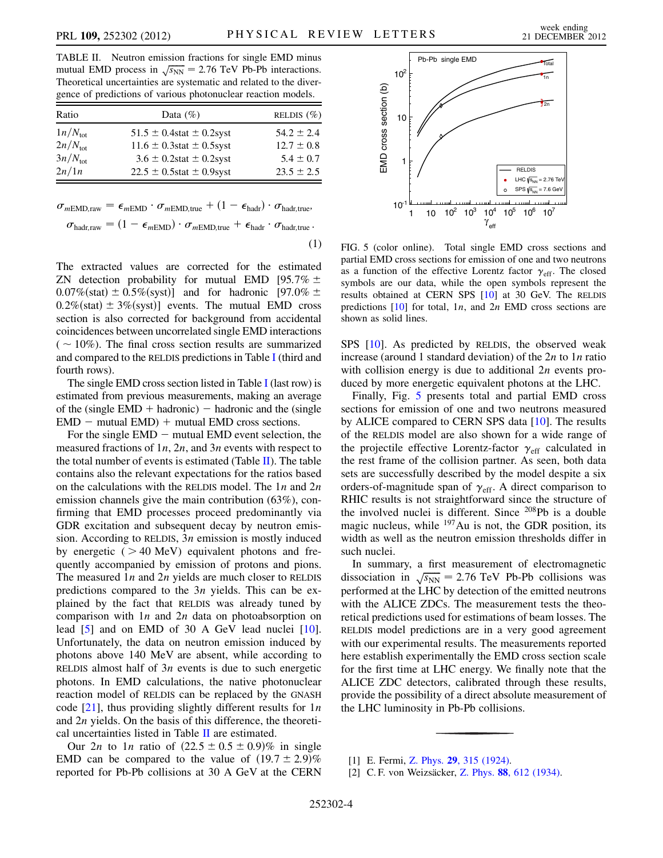<span id="page-3-2"></span>TABLE II. Neutron emission fractions for single EMD minus mutual EMD process in  $\sqrt{s_{NN}}$  = 2.76 TeV Pb-Pb interactions. Theoretical uncertainties are systematic and related to the divergence of predictions of various photonuclear reaction models.

| Ratio               | Data $(\%)$                        | RELDIS $(\%)$  |
|---------------------|------------------------------------|----------------|
| $1n/N_{\text{tot}}$ | $51.5 \pm 0.4$ stat $\pm 0.2$ syst | $54.2 \pm 2.4$ |
| $2n/N_{\text{tot}}$ | $11.6 \pm 0.3$ stat $\pm 0.5$ syst | $12.7 \pm 0.8$ |
| $3n/N_{\text{tot}}$ | $3.6 \pm 0.2$ stat $\pm 0.2$ syst  | $5.4 \pm 0.7$  |
| 2n/1n               | $22.5 \pm 0.5$ stat $\pm 0.9$ syst | $23.5 \pm 2.5$ |

 $\sigma_{m\text{EMD},\text{raw}} = \epsilon_{m\text{EMD}} \cdot \sigma_{m\text{EMD},\text{true}} + (1 - \epsilon_{\text{hadr}}) \cdot \sigma_{\text{hadr},\text{true}},$  $\sigma_{\text{hadr,raw}} = (1 - \epsilon_{m\text{EMD}}) \cdot \sigma_{m\text{EMD,true}} + \epsilon_{\text{hadr}} \cdot \sigma_{\text{hadr,true}}.$ (1)

The extracted values are corrected for the estimated ZN detection probability for mutual EMD [95.7%  $\pm$  $0.07\%$ (stat)  $\pm 0.5\%$ (syst)] and for hadronic [97.0%  $\pm$  $0.2\%$ (stat)  $\pm$  3%(syst)] events. The mutual EMD cross section is also corrected for background from accidental coincidences between uncorrelated single EMD interactions  $( \sim 10\%)$ . The final cross section results are summarized and compared to the RELDIS predictions in Table [I](#page-2-1) (third and fourth rows).

The single EMD cross section listed in Table [I](#page-2-1) (last row) is estimated from previous measurements, making an average of the (single  $EMD + hadronic$ ) – hadronic and the (single  $EMD$  – mutual  $EMD$ ) + mutual  $EMD$  cross sections.

For the single  $EMD$  – mutual EMD event selection, the measured fractions of  $1n$ ,  $2n$ , and  $3n$  events with respect to the total number of events is estimated (Table [II\)](#page-3-2). The table contains also the relevant expectations for the ratios based on the calculations with the RELDIS model. The  $1n$  and  $2n$ emission channels give the main contribution (63%), confirming that EMD processes proceed predominantly via GDR excitation and subsequent decay by neutron emission. According to RELDIS,  $3n$  emission is mostly induced by energetic  $( > 40 \text{ MeV})$  equivalent photons and frequently accompanied by emission of protons and pions. The measured  $1n$  and  $2n$  yields are much closer to RELDIS predictions compared to the 3n yields. This can be explained by the fact that RELDIS was already tuned by comparison with  $1n$  and  $2n$  data on photoabsorption on lead [\[5](#page-4-2)] and on EMD of 30 A GeV lead nuclei [\[10\]](#page-4-7). Unfortunately, the data on neutron emission induced by photons above 140 MeV are absent, while according to RELDIS almost half of  $3n$  events is due to such energetic photons. In EMD calculations, the native photonuclear reaction model of RELDIS can be replaced by the GNASH code [[21](#page-4-18)], thus providing slightly different results for  $1n$ and 2n yields. On the basis of this difference, the theoretical uncertainties listed in Table [II](#page-3-2) are estimated.

Our 2n to 1n ratio of  $(22.5 \pm 0.5 \pm 0.9)\%$  in single EMD can be compared to the value of  $(19.7 \pm 2.9)\%$ reported for Pb-Pb collisions at 30 A GeV at the CERN

<span id="page-3-3"></span>

FIG. 5 (color online). Total single EMD cross sections and partial EMD cross sections for emission of one and two neutrons as a function of the effective Lorentz factor  $\gamma_{\text{eff}}$ . The closed symbols are our data, while the open symbols represent the results obtained at CERN SPS [\[10](#page-4-7)] at 30 GeV. The RELDIS predictions  $[10]$  for total, 1n, and  $2n$  EMD cross sections are shown as solid lines.

SPS [\[10](#page-4-7)]. As predicted by RELDIS, the observed weak increase (around 1 standard deviation) of the  $2n$  to  $1n$  ratio with collision energy is due to additional  $2n$  events produced by more energetic equivalent photons at the LHC.

Finally, Fig. [5](#page-3-3) presents total and partial EMD cross sections for emission of one and two neutrons measured by ALICE compared to CERN SPS data [[10](#page-4-7)]. The results of the RELDIS model are also shown for a wide range of the projectile effective Lorentz-factor  $\gamma_{\text{eff}}$  calculated in the rest frame of the collision partner. As seen, both data sets are successfully described by the model despite a six orders-of-magnitude span of  $\gamma_{\text{eff}}$ . A direct comparison to RHIC results is not straightforward since the structure of the involved nuclei is different. Since 208Pb is a double magic nucleus, while  $197$ Au is not, the GDR position, its width as well as the neutron emission thresholds differ in such nuclei.

In summary, a first measurement of electromagnetic dissociation in  $\sqrt{s_{NN}}$  = 2.76 TeV Pb-Pb collisions was performed at the LHC by detection of the emitted neutrons with the ALICE ZDCs. The measurement tests the theoretical predictions used for estimations of beam losses. The RELDIS model predictions are in a very good agreement with our experimental results. The measurements reported here establish experimentally the EMD cross section scale for the first time at LHC energy. We finally note that the ALICE ZDC detectors, calibrated through these results, provide the possibility of a direct absolute measurement of the LHC luminosity in Pb-Pb collisions.

- <span id="page-3-1"></span><span id="page-3-0"></span>[1] E. Fermi, Z. Phys. **29**[, 315 \(1924\)](http://dx.doi.org/10.1007/BF03184853).
- [2] C. F. von Weizsäcker, Z. Phys. 88[, 612 \(1934\)](http://dx.doi.org/10.1007/BF01333110).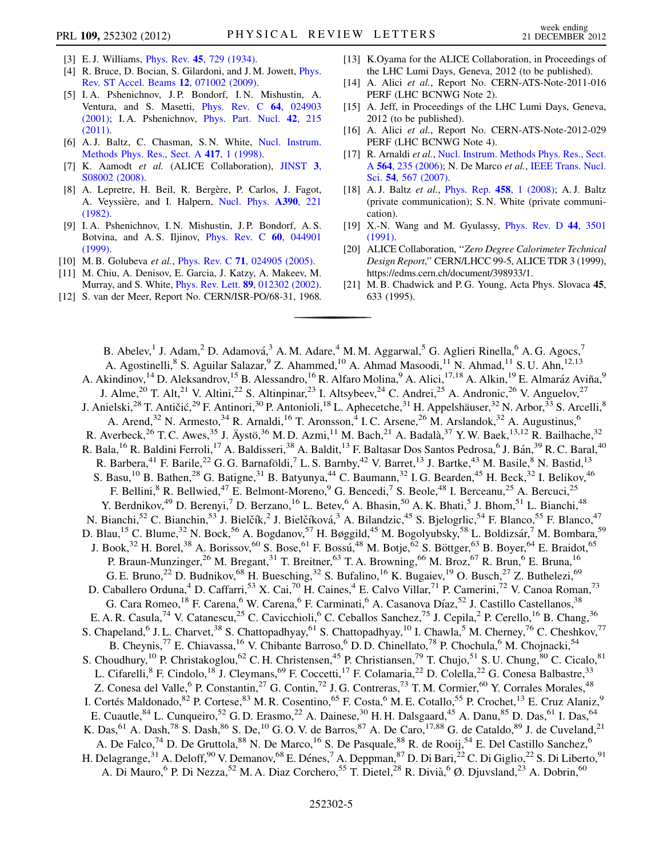- <span id="page-4-0"></span>[3] E.J. Williams, *Phys. Rev.* **45**[, 729 \(1934\).](http://dx.doi.org/10.1103/PhysRev.45.729)
- <span id="page-4-1"></span>[4] R. Bruce, D. Bocian, S. Gilardoni, and J. M. Jowett, *[Phys.](http://dx.doi.org/10.1103/PhysRevSTAB.12.071002)* [Rev. ST Accel. Beams](http://dx.doi.org/10.1103/PhysRevSTAB.12.071002) 12, 071002 (2009).
- <span id="page-4-2"></span>[5] I. A. Pshenichnov, J. P. Bondorf, I. N. Mishustin, A. Ventura, and S. Masetti, [Phys. Rev. C](http://dx.doi.org/10.1103/PhysRevC.64.024903) 64, 024903 [\(2001\)](http://dx.doi.org/10.1103/PhysRevC.64.024903); I. A. Pshenichnov, [Phys. Part. Nucl.](http://dx.doi.org/10.1134/S1063779611020067) 42, 215 [\(2011\)](http://dx.doi.org/10.1134/S1063779611020067).
- <span id="page-4-3"></span>[6] A. J. Baltz, C. Chasman, S. N. White, [Nucl. Instrum.](http://dx.doi.org/10.1016/S0168-9002(98)00575-0) [Methods Phys. Res., Sect. A](http://dx.doi.org/10.1016/S0168-9002(98)00575-0) 417, 1 (1998).
- <span id="page-4-4"></span>[7] K. Aamodt et al. (ALICE Collaboration), [JINST](http://dx.doi.org/10.1088/1748-0221/3/08/S08002) 3, [S08002 \(2008\)](http://dx.doi.org/10.1088/1748-0221/3/08/S08002).
- <span id="page-4-5"></span>[8] A. Lepretre, H. Beil, R. Bergère, P. Carlos, J. Fagot, A. Veyssière, and I. Halpern, [Nucl. Phys.](http://dx.doi.org/10.1016/0375-9474(82)90159-2) A390, 221 [\(1982\)](http://dx.doi.org/10.1016/0375-9474(82)90159-2).
- <span id="page-4-6"></span>[9] I. A. Pshenichnov, I. N. Mishustin, J. P. Bondorf, A. S. Botvina, and A.S. Iljinov, [Phys. Rev. C](http://dx.doi.org/10.1103/PhysRevC.60.044901) 60, 044901 [\(1999\)](http://dx.doi.org/10.1103/PhysRevC.60.044901).
- <span id="page-4-7"></span>[10] M. B. Golubeva et al., *Phys. Rev. C* **71**[, 024905 \(2005\).](http://dx.doi.org/10.1103/PhysRevC.71.024905)
- <span id="page-4-8"></span>[11] M. Chiu, A. Denisov, E. Garcia, J. Katzy, A. Makeev, M. Murray, and S. White, Phys. Rev. Lett. 89[, 012302 \(2002\).](http://dx.doi.org/10.1103/PhysRevLett.89.012302)
- <span id="page-4-9"></span>[12] S. van der Meer, Report No. CERN/ISR-PO/68-31, 1968.
- <span id="page-4-10"></span>[13] K.Oyama for the ALICE Collaboration, in Proceedings of the LHC Lumi Days, Geneva, 2012 (to be published).
- <span id="page-4-11"></span>[14] A. Alici et al., Report No. CERN-ATS-Note-2011-016 PERF (LHC BCNWG Note 2).
- <span id="page-4-12"></span>[15] A. Jeff, in Proceedings of the LHC Lumi Days, Geneva, 2012 (to be published).
- <span id="page-4-13"></span>[16] A. Alici et al., Report No. CERN-ATS-Note-2012-029 PERF (LHC BCNWG Note 4).
- <span id="page-4-14"></span>[17] R. Arnaldi et al., [Nucl. Instrum. Methods Phys. Res., Sect.](http://dx.doi.org/10.1016/j.nima.2006.03.044) <sup>A</sup> 564[, 235 \(2006\);](http://dx.doi.org/10.1016/j.nima.2006.03.044) N. De Marco et al., [IEEE Trans. Nucl.](http://dx.doi.org/10.1109/TNS.2007.896588) Sci. 54[, 567 \(2007\).](http://dx.doi.org/10.1109/TNS.2007.896588)
- <span id="page-4-15"></span>[18] A. J. Baltz et al., [Phys. Rep.](http://dx.doi.org/10.1016/j.physrep.2007.12.001) 458, 1 (2008); A. J. Baltz (private communication); S. N. White (private communication).
- <span id="page-4-16"></span>[19] X.-N. Wang and M. Gyulassy, [Phys. Rev. D](http://dx.doi.org/10.1103/PhysRevD.44.3501) 44, 3501 [\(1991\)](http://dx.doi.org/10.1103/PhysRevD.44.3501).
- <span id="page-4-17"></span>[20] ALICE Collaboration, "Zero Degree Calorimeter Technical Design Report,'' CERN/LHCC 99-5, ALICE TDR 3 (1999), https://edms.cern.ch/document/398933/1.
- <span id="page-4-18"></span>[21] M. B. Chadwick and P. G. Young, Acta Phys. Slovaca 45, 633 (1995).

B. Abelev,<sup>1</sup> J. Adam,<sup>2</sup> D. Adamová,<sup>3</sup> A. M. Adare,<sup>4</sup> M. M. Aggarwal,<sup>5</sup> G. Aglieri Rinella,<sup>6</sup> A. G. Agocs,<sup>7</sup> A. Agostinelli,<sup>8</sup> S. Aguilar Salazar,<sup>9</sup> Z. Ahammed,<sup>10</sup> A. Ahmad Masoodi,<sup>11</sup> N. Ahmad,<sup>11</sup> S. U. Ahn,<sup>12,13</sup> A. Akindinov,<sup>14</sup> D. Aleksandrov,<sup>15</sup> B. Alessandro,<sup>16</sup> R. Alfaro Molina,<sup>9</sup> A. Alici,<sup>17,18</sup> A. Alkin,<sup>19</sup> E. Almaráz Aviña,<sup>9</sup> J. Alme,<sup>20</sup> T. Alt,<sup>21</sup> V. Altini,<sup>22</sup> S. Altinpinar,<sup>23</sup> I. Altsybeev,<sup>24</sup> C. Andrei,<sup>25</sup> A. Andronic,<sup>26</sup> V. Anguelov,<sup>27</sup> J. Anielski,<sup>28</sup> T. Antičić,<sup>29</sup> F. Antinori,<sup>30</sup> P. Antonioli,<sup>18</sup> L. Aphecetche,<sup>31</sup> H. Appelshäuser,<sup>32</sup> N. Arbor,<sup>33</sup> S. Arcelli,<sup>8</sup> A. Arend,<sup>32</sup> N. Armesto,<sup>34</sup> R. Arnaldi,<sup>16</sup> T. Aronsson,<sup>4</sup> I. C. Arsene,<sup>26</sup> M. Arslandok,<sup>32</sup> A. Augustinus,<sup>6</sup> R. Averbeck,<sup>26</sup> T.C. Awes,<sup>35</sup> J. Äystö,<sup>36</sup> M.D. Azmi,<sup>11</sup> M. Bach,<sup>21</sup> A. Badalà,<sup>37</sup> Y.W. Baek,<sup>13,12</sup> R. Bailhache,<sup>32</sup> R. Bala,<sup>16</sup> R. Baldini Ferroli,<sup>17</sup> A. Baldisseri,<sup>38</sup> A. Baldit,<sup>13</sup> F. Baltasar Dos Santos Pedrosa,<sup>6</sup> J. Bán,<sup>39</sup> R. C. Baral,<sup>40</sup> R. Barbera,<sup>41</sup> F. Barile,<sup>22</sup> G. G. Barnaföldi,<sup>7</sup> L. S. Barnby,<sup>42</sup> V. Barret,<sup>13</sup> J. Bartke,<sup>43</sup> M. Basile,<sup>8</sup> N. Bastid,<sup>13</sup> S. Basu,<sup>10</sup> B. Bathen,<sup>28</sup> G. Batigne,<sup>31</sup> B. Batyunya,<sup>44</sup> C. Baumann,<sup>32</sup> I. G. Bearden,<sup>45</sup> H. Beck,<sup>32</sup> I. Belikov,<sup>46</sup> F. Bellini,<sup>8</sup> R. Bellwied,<sup>47</sup> E. Belmont-Moreno,<sup>9</sup> G. Bencedi,<sup>7</sup> S. Beole,<sup>48</sup> I. Berceanu,<sup>25</sup> A. Bercuci,<sup>25</sup> Y. Berdnikov,<sup>49</sup> D. Berenyi,<sup>7</sup> D. Berzano,<sup>16</sup> L. Betev,<sup>6</sup> A. Bhasin,<sup>50</sup> A. K. Bhati,<sup>5</sup> J. Bhom,<sup>51</sup> L. Bianchi,<sup>48</sup> N. Bianchi,<sup>52</sup> C. Bianchin,<sup>53</sup> J. Bielčík,<sup>2</sup> J. Bielčíková,<sup>3</sup> A. Bilandzic,<sup>45</sup> S. Bjelogrlic,<sup>54</sup> F. Blanco,<sup>55</sup> F. Blanco,<sup>47</sup> D. Blau,<sup>15</sup> C. Blume,<sup>32</sup> N. Bock,<sup>56</sup> A. Bogdanov,<sup>57</sup> H. Bøggild,<sup>45</sup> M. Bogolyubsky,<sup>58</sup> L. Boldizsár,<sup>7</sup> M. Bombara,<sup>59</sup> J. Book,<sup>32</sup> H. Borel,<sup>38</sup> A. Borissov,<sup>60</sup> S. Bose,<sup>61</sup> F. Bossú,<sup>48</sup> M. Botje,<sup>62</sup> S. Böttger,<sup>63</sup> B. Boyer,<sup>64</sup> E. Braidot,<sup>65</sup> P. Braun-Munzinger,<sup>26</sup> M. Bregant,<sup>31</sup> T. Breitner,<sup>63</sup> T. A. Browning,<sup>66</sup> M. Broz,<sup>67</sup> R. Brun,<sup>6</sup> E. Bruna,<sup>16</sup> G. E. Bruno,<sup>22</sup> D. Budnikov,<sup>68</sup> H. Buesching,<sup>32</sup> S. Bufalino,<sup>16</sup> K. Bugaiev,<sup>19</sup> O. Busch,<sup>27</sup> Z. Buthelezi,<sup>69</sup> D. Caballero Orduna,<sup>4</sup> D. Caffarri,<sup>53</sup> X. Cai,<sup>70</sup> H. Caines,<sup>4</sup> E. Calvo Villar,<sup>71</sup> P. Camerini,<sup>72</sup> V. Canoa Roman,<sup>73</sup> G. Cara Romeo,<sup>18</sup> F. Carena,<sup>6</sup> W. Carena,<sup>6</sup> F. Carminati,<sup>6</sup> A. Casanova Díaz,<sup>52</sup> J. Castillo Castellanos,<sup>38</sup> E. A. R. Casula,<sup>74</sup> V. Catanescu,<sup>25</sup> C. Cavicchioli,<sup>6</sup> C. Ceballos Sanchez,<sup>75</sup> J. Cepila,<sup>2</sup> P. Cerello,<sup>16</sup> B. Chang,<sup>36</sup> S. Chapeland,<sup>6</sup> J. L. Charvet,<sup>38</sup> S. Chattopadhyay,<sup>61</sup> S. Chattopadhyay,<sup>10</sup> I. Chawla,<sup>5</sup> M. Cherney,<sup>76</sup> C. Cheshkov,<sup>77</sup> B. Cheynis,<sup>77</sup> E. Chiavassa,<sup>16</sup> V. Chibante Barroso,<sup>6</sup> D. D. Chinellato,<sup>78</sup> P. Chochula,<sup>6</sup> M. Chojnacki,<sup>54</sup> S. Choudhury, <sup>10</sup> P. Christakoglou, <sup>62</sup> C. H. Christensen, <sup>45</sup> P. Christiansen, <sup>79</sup> T. Chujo, <sup>51</sup> S. U. Chung, <sup>80</sup> C. Cicalo, <sup>81</sup> L. Cifarelli,<sup>8</sup> F. Cindolo,<sup>18</sup> J. Cleymans,<sup>69</sup> F. Coccetti,<sup>17</sup> F. Colamaria,<sup>22</sup> D. Colella,<sup>22</sup> G. Conesa Balbastre,<sup>33</sup> Z. Conesa del Valle,<sup>6</sup> P. Constantin,<sup>27</sup> G. Contin,<sup>72</sup> J. G. Contreras,<sup>73</sup> T. M. Cormier,<sup>60</sup> Y. Corrales Morales,<sup>48</sup> I. Cortés Maldonado,<sup>82</sup> P. Cortese,<sup>83</sup> M. R. Cosentino,<sup>65</sup> F. Costa,<sup>6</sup> M. E. Cotallo,<sup>55</sup> P. Crochet,<sup>13</sup> E. Cruz Alaniz,<sup>9</sup> E. Cuautle, <sup>84</sup> L. Cunqueiro, <sup>52</sup> G. D. Erasmo, <sup>22</sup> A. Dainese, <sup>30</sup> H. H. Dalsgaard, <sup>45</sup> A. Danu, <sup>85</sup> D. Das, <sup>61</sup> I. Das, <sup>64</sup> K. Das,<sup>61</sup> A. Dash,<sup>78</sup> S. Dash,<sup>86</sup> S. De,<sup>10</sup> G. O. V. de Barros,<sup>87</sup> A. De Caro,<sup>17,88</sup> G. de Cataldo,<sup>89</sup> J. de Cuveland,<sup>21</sup> A. De Falco,<sup>74</sup> D. De Gruttola,<sup>88</sup> N. De Marco,<sup>16</sup> S. De Pasquale,<sup>88</sup> R. de Rooij,<sup>54</sup> E. Del Castillo Sanchez,<sup>6</sup> H. Delagrange,<sup>31</sup> A. Deloff,<sup>90</sup> V. Demanov,<sup>68</sup> E. Dénes,<sup>7</sup> A. Deppman,<sup>87</sup> D. Di Bari,<sup>22</sup> C. Di Giglio,<sup>22</sup> S. Di Liberto,<sup>91</sup> A. Di Mauro, <sup>6</sup> P. Di Nezza, <sup>52</sup> M. A. Diaz Corchero, <sup>55</sup> T. Dietel, <sup>28</sup> R. Divià, <sup>6</sup> Ø. Djuvsland, <sup>23</sup> A. Dobrin, <sup>60</sup>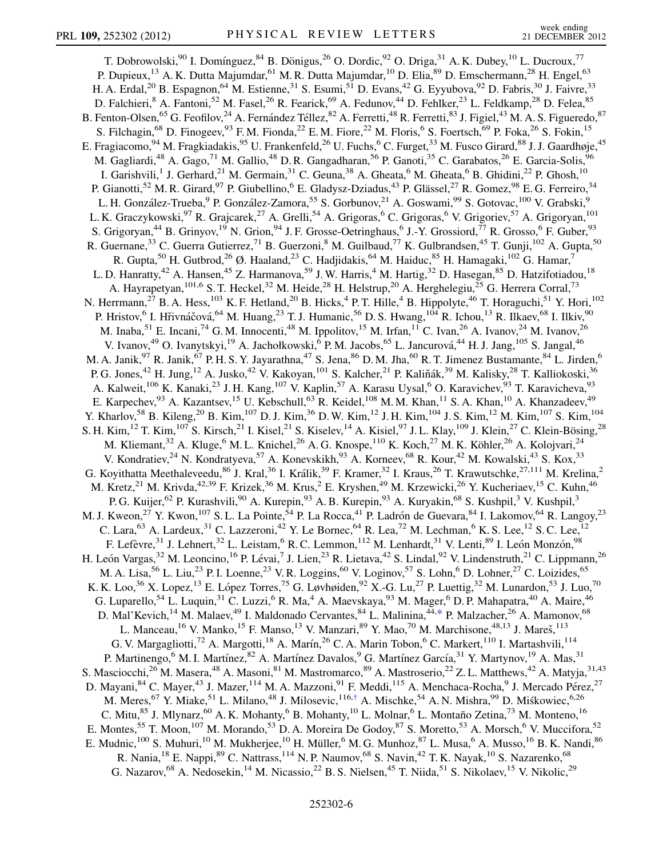<span id="page-5-1"></span><span id="page-5-0"></span>T. Dobrowolski,<sup>90</sup> I. Domínguez,<sup>84</sup> B. Dönigus,<sup>26</sup> O. Dordic,<sup>92</sup> O. Driga,<sup>31</sup> A. K. Dubey,<sup>10</sup> L. Ducroux,<sup>77</sup> P. Dupieux,<sup>13</sup> A. K. Dutta Majumdar,<sup>61</sup> M. R. Dutta Majumdar,<sup>10</sup> D. Elia,<sup>89</sup> D. Emschermann,<sup>28</sup> H. Engel,<sup>63</sup> H. A. Erdal,<sup>20</sup> B. Espagnon,<sup>64</sup> M. Estienne,<sup>31</sup> S. Esumi,<sup>51</sup> D. Evans,<sup>42</sup> G. Eyyubova,<sup>92</sup> D. Fabris,<sup>30</sup> J. Faivre,<sup>33</sup> D. Falchieri,<sup>8</sup> A. Fantoni,<sup>52</sup> M. Fasel,<sup>26</sup> R. Fearick,<sup>69</sup> A. Fedunov,<sup>44</sup> D. Fehlker,<sup>23</sup> L. Feldkamp,<sup>28</sup> D. Felea,<sup>85</sup> B. Fenton-Olsen,<sup>65</sup> G. Feofilov,<sup>24</sup> A. Fernández Téllez,<sup>82</sup> A. Ferretti,<sup>48</sup> R. Ferretti,<sup>83</sup> J. Figiel,<sup>43</sup> M. A. S. Figueredo,<sup>87</sup> S. Filchagin,<sup>68</sup> D. Finogeev,<sup>93</sup> F. M. Fionda,<sup>22</sup> E. M. Fiore,<sup>22</sup> M. Floris,<sup>6</sup> S. Foertsch,<sup>69</sup> P. Foka,<sup>26</sup> S. Fokin,<sup>15</sup> E. Fragiacomo, <sup>94</sup> M. Fragkiadakis, <sup>95</sup> U. Frankenfeld, <sup>26</sup> U. Fuchs, <sup>6</sup> C. Furget, <sup>33</sup> M. Fusco Girard, <sup>88</sup> J. J. Gaardhøje, <sup>45</sup> M. Gagliardi,<sup>48</sup> A. Gago,<sup>71</sup> M. Gallio,<sup>48</sup> D. R. Gangadharan,<sup>56</sup> P. Ganoti,<sup>35</sup> C. Garabatos,<sup>26</sup> E. Garcia-Solis,<sup>96</sup> I. Garishvili,<sup>1</sup> J. Gerhard,<sup>21</sup> M. Germain,<sup>31</sup> C. Geuna,<sup>38</sup> A. Gheata,<sup>6</sup> M. Gheata,<sup>6</sup> B. Ghidini,<sup>22</sup> P. Ghosh,<sup>10</sup> P. Gianotti,<sup>52</sup> M. R. Girard,<sup>97</sup> P. Giubellino,<sup>6</sup> E. Gladysz-Dziadus,<sup>43</sup> P. Glässel,<sup>27</sup> R. Gomez,<sup>98</sup> E. G. Ferreiro,<sup>34</sup> L. H. González-Trueba, <sup>9</sup> P. González-Zamora, <sup>55</sup> S. Gorbunov, <sup>21</sup> A. Goswami, <sup>99</sup> S. Gotovac, <sup>100</sup> V. Grabski, <sup>9</sup> L. K. Graczykowski, <sup>97</sup> R. Grajcarek, <sup>27</sup> A. Grelli, <sup>54</sup> A. Grigoras, <sup>6</sup> C. Grigoras, <sup>6</sup> V. Grigoriev, <sup>57</sup> A. Grigoryan, <sup>101</sup> S. Grigoryan,<sup>44</sup> B. Grinyov,<sup>19</sup> N. Grion,<sup>94</sup> J. F. Grosse-Oetringhaus,<sup>6</sup> J.-Y. Grossiord,<sup>77</sup> R. Grosso,<sup>6</sup> F. Guber,<sup>93</sup> R. Guernane,<sup>33</sup> C. Guerra Gutierrez,<sup>71</sup> B. Guerzoni,<sup>8</sup> M. Guilbaud,<sup>77</sup> K. Gulbrandsen,<sup>45</sup> T. Gunji,<sup>102</sup> A. Gupta,<sup>50</sup> R. Gupta,<sup>50</sup> H. Gutbrod,<sup>26</sup> Ø. Haaland,<sup>23</sup> C. Hadjidakis,<sup>64</sup> M. Haiduc,<sup>85</sup> H. Hamagaki,<sup>102</sup> G. Hamar,<sup>7</sup> L. D. Hanratty,<sup>42</sup> A. Hansen,<sup>45</sup> Z. Harmanova,<sup>59</sup> J. W. Harris,<sup>4</sup> M. Hartig,<sup>32</sup> D. Hasegan,<sup>85</sup> D. Hatzifotiadou,<sup>18</sup> A. Hayrapetyan,  $^{101,6}$  S. T. Heckel,  $^{32}$  M. Heide,  $^{28}$  H. Helstrup,  $^{20}$  A. Herghelegiu,  $^{25}$  G. Herrera Corral,  $^{73}$ N. Herrmann,<sup>27</sup> B. A. Hess,<sup>103</sup> K. F. Hetland,<sup>20</sup> B. Hicks,<sup>4</sup> P. T. Hille,<sup>4</sup> B. Hippolyte,<sup>46</sup> T. Horaguchi,<sup>51</sup> Y. Hori,<sup>102</sup> P. Hristov,<sup>6</sup> I. Hřivnáčová,<sup>64</sup> M. Huang,<sup>23</sup> T. J. Humanic,<sup>56</sup> D. S. Hwang,<sup>104</sup> R. Ichou,<sup>13</sup> R. Ilkaev,<sup>68</sup> I. Ilkiv,<sup>90</sup> M. Inaba, <sup>51</sup> E. Incani, <sup>74</sup> G. M. Innocenti, <sup>48</sup> M. Ippolitov, <sup>15</sup> M. Irfan, <sup>11</sup> C. Ivan, <sup>26</sup> A. Ivanov, <sup>24</sup> M. Ivanov, <sup>26</sup> V. Ivanov,<sup>49</sup> O. Ivanytskyi,<sup>19</sup> A. Jachołkowski,<sup>6</sup> P.M. Jacobs,<sup>65</sup> L. Jancurová,<sup>44</sup> H.J. Jang,<sup>105</sup> S. Jangal,<sup>46</sup> M. A. Janik, <sup>97</sup> R. Janik, <sup>67</sup> P. H. S. Y. Jayarathna, <sup>47</sup> S. Jena, <sup>86</sup> D. M. Jha, <sup>60</sup> R. T. Jimenez Bustamante, <sup>84</sup> L. Jirden, <sup>6</sup> P. G. Jones,<sup>42</sup> H. Jung,<sup>12</sup> A. Jusko,<sup>42</sup> V. Kakoyan,<sup>101</sup> S. Kalcher,<sup>21</sup> P. Kaliňák,<sup>39</sup> M. Kalisky,<sup>28</sup> T. Kalliokoski,<sup>36</sup> A. Kalweit,<sup>106</sup> K. Kanaki,<sup>23</sup> J. H. Kang,<sup>107</sup> V. Kaplin,<sup>57</sup> A. Karasu Uysal,<sup>6</sup> O. Karavichev,<sup>93</sup> T. Karavicheva,<sup>93</sup> E. Karpechev, <sup>93</sup> A. Kazantsev, <sup>15</sup> U. Kebschull, <sup>63</sup> R. Keidel, <sup>108</sup> M. M. Khan, <sup>11</sup> S. A. Khan, <sup>10</sup> A. Khanzadeev, <sup>49</sup> Y. Kharlov,<sup>58</sup> B. Kileng,<sup>20</sup> B. Kim,<sup>107</sup> D. J. Kim,<sup>36</sup> D. W. Kim,<sup>12</sup> J. H. Kim,<sup>104</sup> J. S. Kim,<sup>12</sup> M. Kim,<sup>107</sup> S. Kim,<sup>104</sup> S. H. Kim,<sup>12</sup> T. Kim,<sup>107</sup> S. Kirsch,<sup>21</sup> I. Kisel,<sup>21</sup> S. Kiselev,<sup>14</sup> A. Kisiel,<sup>97</sup> J. L. Klay,<sup>109</sup> J. Klein,<sup>27</sup> C. Klein-Bösing,<sup>28</sup> M. Kliemant,<sup>32</sup> A. Kluge,<sup>6</sup> M. L. Knichel,<sup>26</sup> A. G. Knospe,<sup>110</sup> K. Koch,<sup>27</sup> M. K. Köhler,<sup>26</sup> A. Kolojvari,<sup>24</sup> V. Kondratiev,<sup>24</sup> N. Kondratyeva,<sup>57</sup> A. Konevskikh,<sup>93</sup> A. Korneev,<sup>68</sup> R. Kour,<sup>42</sup> M. Kowalski,<sup>43</sup> S. Kox,<sup>33</sup> G. Koyithatta Meethaleveedu,<sup>86</sup> J. Kral,<sup>36</sup> I. Králik,<sup>39</sup> F. Kramer,<sup>32</sup> I. Kraus,<sup>26</sup> T. Krawutschke,<sup>27,111</sup> M. Krelina,<sup>2</sup> M. Kretz,<sup>21</sup> M. Krivda,<sup>42,39</sup> F. Krizek,<sup>36</sup> M. Krus,<sup>2</sup> E. Kryshen,<sup>49</sup> M. Krzewicki,<sup>26</sup> Y. Kucheriaev,<sup>15</sup> C. Kuhn,<sup>46</sup> P. G. Kuijer,<sup>62</sup> P. Kurashvili,<sup>90</sup> A. Kurepin,<sup>93</sup> A. B. Kurepin,<sup>93</sup> A. Kuryakin,<sup>68</sup> S. Kushpil,<sup>3</sup> V. Kushpil,<sup>3</sup> M. J. Kweon,<sup>27</sup> Y. Kwon,<sup>107</sup> S. L. La Pointe,<sup>54</sup> P. La Rocca,<sup>41</sup> P. Ladrón de Guevara,<sup>84</sup> I. Lakomov,<sup>64</sup> R. Langoy,<sup>23</sup> C. Lara, <sup>63</sup> A. Lardeux, <sup>31</sup> C. Lazzeroni, <sup>42</sup> Y. Le Bornec, <sup>64</sup> R. Lea, <sup>72</sup> M. Lechman, <sup>6</sup> K. S. Lee, <sup>12</sup> S. C. Lee, <sup>12</sup> F. Lefèvre,<sup>31</sup> J. Lehnert,<sup>32</sup> L. Leistam,<sup>6</sup> R. C. Lemmon,<sup>112</sup> M. Lenhardt,<sup>31</sup> V. Lenti,<sup>89</sup> I. León Monzón,<sup>98</sup> H. León Vargas,<sup>32</sup> M. Leoncino,<sup>16</sup> P. Lévai,<sup>7</sup> J. Lien,<sup>23</sup> R. Lietava,<sup>42</sup> S. Lindal,<sup>92</sup> V. Lindenstruth,<sup>21</sup> C. Lippmann,<sup>26</sup> M. A. Lisa,<sup>56</sup> L. Liu,<sup>23</sup> P. I. Loenne,<sup>23</sup> V. R. Loggins,<sup>60</sup> V. Loginov,<sup>57</sup> S. Lohn,<sup>6</sup> D. Lohner,<sup>27</sup> C. Loizides,<sup>65</sup> K. K. Loo,<sup>36</sup> X. Lopez,<sup>13</sup> E. López Torres,<sup>75</sup> G. Løvhøiden,<sup>92</sup> X.-G. Lu,<sup>27</sup> P. Luettig,<sup>32</sup> M. Lunardon,<sup>53</sup> J. Luo,<sup>70</sup> G. Luparello,<sup>54</sup> L. Luquin,<sup>31</sup> C. Luzzi,<sup>6</sup> R. Ma,<sup>4</sup> A. Maevskaya,<sup>93</sup> M. Mager,<sup>6</sup> D. P. Mahapatra,<sup>40</sup> A. Maire,<sup>46</sup> D. Mal'Kevich,<sup>14</sup> M. Malaev,<sup>49</sup> I. Maldonado Cervantes,<sup>84</sup> L. Malinina,<sup>44,[\\*](#page-9-0)</sup> P. Malzacher,<sup>26</sup> A. Mamonov,<sup>68</sup> L. Manceau, <sup>16</sup> V. Manko, <sup>15</sup> F. Manso, <sup>13</sup> V. Manzari, <sup>89</sup> Y. Mao, <sup>70</sup> M. Marchisone, <sup>48, 13</sup> J. Mareš, <sup>113</sup> G. V. Margagliotti,<sup>72</sup> A. Margotti,<sup>18</sup> A. Marín,<sup>26</sup> C. A. Marin Tobon,<sup>6</sup> C. Markert,<sup>110</sup> I. Martashvili,<sup>114</sup> P. Martinengo,<sup>6</sup> M. I. Martínez, <sup>82</sup> A. Martínez Davalos, <sup>9</sup> G. Martínez García, <sup>31</sup> Y. Martynov, <sup>19</sup> A. Mas, <sup>31</sup> S. Masciocchi,<sup>26</sup> M. Masera,<sup>48</sup> A. Masoni,<sup>81</sup> M. Mastromarco,<sup>89</sup> A. Mastroserio,<sup>22</sup> Z. L. Matthews,<sup>42</sup> A. Matyja,<sup>31,43</sup> D. Mayani, <sup>84</sup> C. Mayer, <sup>43</sup> J. Mazer, <sup>114</sup> M. A. Mazzoni, <sup>91</sup> F. Meddi, <sup>115</sup> A. Menchaca-Rocha, <sup>9</sup> J. Mercado Pérez, <sup>27</sup> M. Meres,<sup>67</sup> Y. Miake,<sup>51</sup> L. Milano,<sup>48</sup> J. Milosevic,<sup>116[,†](#page-9-1)</sup> A. Mischke,<sup>54</sup> A. N. Mishra,<sup>99</sup> D. Miskowiec,<sup>6,26</sup> C. Mitu,<sup>85</sup> J. Mlynarz,<sup>60</sup> A. K. Mohanty,<sup>6</sup> B. Mohanty,<sup>10</sup> L. Molnar,<sup>6</sup> L. Montaño Zetina,<sup>73</sup> M. Monteno,<sup>16</sup> E. Montes,<sup>55</sup> T. Moon,<sup>107</sup> M. Morando,<sup>53</sup> D. A. Moreira De Godoy,<sup>87</sup> S. Moretto,<sup>53</sup> A. Morsch,<sup>6</sup> V. Muccifora,<sup>52</sup> E. Mudnic,<sup>100</sup> S. Muhuri,<sup>10</sup> M. Mukherjee,<sup>10</sup> H. Müller,<sup>6</sup> M. G. Munhoz,<sup>87</sup> L. Musa,<sup>6</sup> A. Musso,<sup>16</sup> B. K. Nandi,<sup>86</sup> R. Nania, <sup>18</sup> E. Nappi, <sup>89</sup> C. Nattrass, <sup>114</sup> N. P. Naumov, <sup>68</sup> S. Navin, <sup>42</sup> T. K. Nayak, <sup>10</sup> S. Nazarenko, <sup>68</sup> G. Nazarov, <sup>68</sup> A. Nedosekin, <sup>14</sup> M. Nicassio, <sup>22</sup> B. S. Nielsen, <sup>45</sup> T. Niida, <sup>51</sup> S. Nikolaev, <sup>15</sup> V. Nikolic, <sup>29</sup>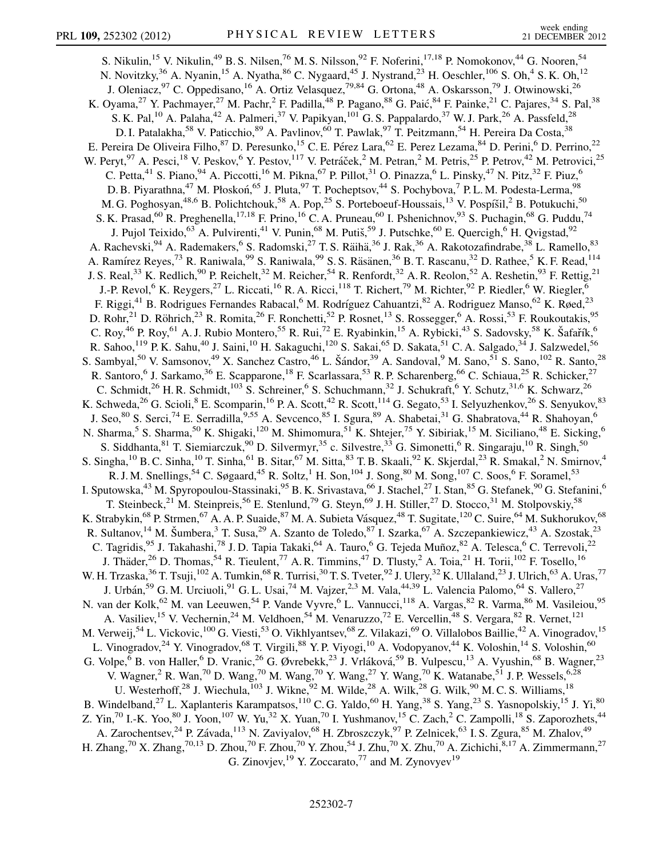S. Nikulin,<sup>15</sup> V. Nikulin,<sup>49</sup> B. S. Nilsen,<sup>76</sup> M. S. Nilsson,<sup>92</sup> F. Noferini,<sup>17,18</sup> P. Nomokonov,<sup>44</sup> G. Nooren,<sup>54</sup> N. Novitzky,<sup>36</sup> A. Nyanin,<sup>15</sup> A. Nyatha,<sup>86</sup> C. Nygaard,<sup>45</sup> J. Nystrand,<sup>23</sup> H. Oeschler,<sup>106</sup> S. Oh,<sup>4</sup> S. K. Oh,<sup>12</sup> J. Oleniacz, <sup>97</sup> C. Oppedisano, <sup>16</sup> A. Ortiz Velasquez, <sup>79,84</sup> G. Ortona, <sup>48</sup> A. Oskarsson, <sup>79</sup> J. Otwinowski, <sup>26</sup> K. Oyama,<sup>27</sup> Y. Pachmayer,<sup>27</sup> M. Pachr,<sup>2</sup> F. Padilla,<sup>48</sup> P. Pagano,<sup>88</sup> G. Paić,<sup>84</sup> F. Painke,<sup>21</sup> C. Pajares,<sup>34</sup> S. Pal,<sup>38</sup> S. K. Pal,<sup>10</sup> A. Palaha,<sup>42</sup> A. Palmeri,<sup>37</sup> V. Papikyan,<sup>101</sup> G. S. Pappalardo,<sup>37</sup> W. J. Park,<sup>26</sup> A. Passfeld,<sup>28</sup> D. I. Patalakha,<sup>58</sup> V. Paticchio,<sup>89</sup> A. Pavlinov,<sup>60</sup> T. Pawlak,<sup>97</sup> T. Peitzmann,<sup>54</sup> H. Pereira Da Costa,<sup>38</sup> E. Pereira De Oliveira Filho,  $^{87}$  D. Peresunko,  $^{15}$  C. E. Pérez Lara,  $^{62}$  E. Perez Lezama,  $^{84}$  D. Perini,  $^{6}$  D. Perrino,  $^{22}$ W. Peryt,<sup>97</sup> A. Pesci,<sup>18</sup> V. Peskov,<sup>6</sup> Y. Pestov,<sup>117</sup> V. Petráček,<sup>2</sup> M. Petran,<sup>2</sup> M. Petris,<sup>25</sup> P. Petrov,<sup>42</sup> M. Petrovici,<sup>25</sup> C. Petta,<sup>41</sup> S. Piano,<sup>94</sup> A. Piccotti,<sup>16</sup> M. Pikna,<sup>67</sup> P. Pillot,<sup>31</sup> O. Pinazza,<sup>6</sup> L. Pinsky,<sup>47</sup> N. Pitz,<sup>32</sup> F. Piuz,<sup>6</sup> D. B. Piyarathna,<sup>47</sup> M. Płoskoń,<sup>65</sup> J. Pluta,<sup>97</sup> T. Pocheptsov,<sup>44</sup> S. Pochybova,<sup>7</sup> P. L. M. Podesta-Lerma,<sup>98</sup> M. G. Poghosyan,<sup>48,6</sup> B. Polichtchouk,<sup>58</sup> A. Pop,<sup>25</sup> S. Porteboeuf-Houssais,<sup>13</sup> V. Pospíšil,<sup>2</sup> B. Potukuchi,<sup>50</sup> S. K. Prasad,<sup>60</sup> R. Preghenella,<sup>17,18</sup> F. Prino,<sup>16</sup> C. A. Pruneau,<sup>60</sup> I. Pshenichnov,<sup>93</sup> S. Puchagin,<sup>68</sup> G. Puddu,<sup>74</sup> J. Pujol Teixido, <sup>63</sup> A. Pulvirenti, <sup>41</sup> V. Punin, <sup>68</sup> M. Putiš, <sup>59</sup> J. Putschke, <sup>60</sup> E. Quercigh, <sup>6</sup> H. Qvigstad, <sup>92</sup> A. Rachevski, <sup>94</sup> A. Rademakers, <sup>6</sup> S. Radomski, <sup>27</sup> T. S. Räihä, <sup>36</sup> J. Rak, <sup>36</sup> A. Rakotozafindrabe, <sup>38</sup> L. Ramello, <sup>83</sup> A. Ramírez Reyes,<sup>73</sup> R. Raniwala,<sup>99</sup> S. Raniwala,<sup>99</sup> S. S. Räsänen,<sup>36</sup> B. T. Rascanu,<sup>32</sup> D. Rathee,<sup>5</sup> K. F. Read,<sup>114</sup> J. S. Real,<sup>33</sup> K. Redlich,<sup>90</sup> P. Reichelt,<sup>32</sup> M. Reicher,<sup>54</sup> R. Renfordt,<sup>32</sup> A. R. Reolon,<sup>52</sup> A. Reshetin,<sup>93</sup> F. Rettig,<sup>21</sup> J.-P. Revol,<sup>6</sup> K. Reygers,<sup>27</sup> L. Riccati,<sup>16</sup> R. A. Ricci,<sup>118</sup> T. Richert,<sup>79</sup> M. Richter,<sup>92</sup> P. Riedler,<sup>6</sup> W. Riegler,<sup>6</sup> F. Riggi,<sup>41</sup> B. Rodrigues Fernandes Rabacal,<sup>6</sup> M. Rodríguez Cahuantzi,<sup>82</sup> A. Rodriguez Manso,<sup>62</sup> K. Røed,<sup>23</sup> D. Rohr,<sup>21</sup> D. Röhrich,<sup>23</sup> R. Romita,<sup>26</sup> F. Ronchetti,<sup>52</sup> P. Rosnet,<sup>13</sup> S. Rossegger,<sup>6</sup> A. Rossi,<sup>53</sup> F. Roukoutakis,<sup>95</sup> C. Roy,<sup>46</sup> P. Roy,<sup>61</sup> A. J. Rubio Montero,<sup>55</sup> R. Rui,<sup>72</sup> E. Ryabinkin,<sup>15</sup> A. Rybicki,<sup>43</sup> S. Sadovsky,<sup>58</sup> K. Šafařík,<sup>6</sup> R. Sahoo,<sup>119</sup> P. K. Sahu,<sup>40</sup> J. Saini,<sup>10</sup> H. Sakaguchi,<sup>120</sup> S. Sakai,<sup>65</sup> D. Sakata,<sup>51</sup> C. A. Salgado,<sup>34</sup> J. Salzwedel,<sup>56</sup> S. Sambyal,<sup>50</sup> V. Samsonov,<sup>49</sup> X. Sanchez Castro,<sup>46</sup> L. Šándor,<sup>39</sup> A. Sandoval,<sup>9</sup> M. Sano,<sup>51</sup> S. Sano,<sup>102</sup> R. Santo,<sup>28</sup> R. Santoro,<sup>6</sup> J. Sarkamo,<sup>36</sup> E. Scapparone,<sup>18</sup> F. Scarlassara,<sup>53</sup> R. P. Scharenberg,<sup>66</sup> C. Schiaua,<sup>25</sup> R. Schicker,<sup>27</sup> C. Schmidt,<sup>26</sup> H. R. Schmidt,<sup>103</sup> S. Schreiner,<sup>6</sup> S. Schuchmann,<sup>32</sup> J. Schukraft,<sup>6</sup> Y. Schutz,<sup>31,6</sup> K. Schwarz,<sup>26</sup> K. Schweda,<sup>26</sup> G. Scioli,<sup>8</sup> E. Scomparin,<sup>16</sup> P. A. Scott,<sup>42</sup> R. Scott,<sup>114</sup> G. Segato,<sup>53</sup> I. Selyuzhenkov,<sup>26</sup> S. Senyukov,<sup>83</sup> J. Seo,<sup>80</sup> S. Serci,<sup>74</sup> E. Serradilla,<sup>9,55</sup> A. Sevcenco,<sup>85</sup> I. Sgura,<sup>89</sup> A. Shabetai,<sup>31</sup> G. Shabratova,<sup>44</sup> R. Shahoyan,<sup>6</sup> N. Sharma,<sup>5</sup> S. Sharma,<sup>50</sup> K. Shigaki,<sup>120</sup> M. Shimomura,<sup>51</sup> K. Shtejer,<sup>75</sup> Y. Sibiriak,<sup>15</sup> M. Siciliano,<sup>48</sup> E. Sicking,<sup>6</sup> S. Siddhanta, <sup>81</sup> T. Siemiarczuk, <sup>90</sup> D. Silvermyr, <sup>35</sup> c. Silvestre, <sup>33</sup> G. Simonetti, <sup>6</sup> R. Singaraju, <sup>10</sup> R. Singh, <sup>50</sup> S. Singha,<sup>10</sup> B. C. Sinha,<sup>10</sup> T. Sinha,<sup>61</sup> B. Sitar,<sup>67</sup> M. Sitta,<sup>83</sup> T. B. Skaali,<sup>92</sup> K. Skjerdal,<sup>23</sup> R. Smakal,<sup>2</sup> N. Smirnov,<sup>4</sup> R. J. M. Snellings, <sup>54</sup> C. Søgaard, <sup>45</sup> R. Soltz, <sup>1</sup> H. Son, <sup>104</sup> J. Song, <sup>80</sup> M. Song, <sup>107</sup> C. Soos, <sup>6</sup> F. Soramel, <sup>53</sup> I. Sputowska,<sup>43</sup> M. Spyropoulou-Stassinaki,<sup>95</sup> B. K. Srivastava,<sup>66</sup> J. Stachel,<sup>27</sup> I. Stan,<sup>85</sup> G. Stefanek,<sup>90</sup> G. Stefanini,<sup>6</sup> T. Steinbeck,<sup>21</sup> M. Steinpreis,<sup>56</sup> E. Stenlund,<sup>79</sup> G. Steyn,<sup>69</sup> J. H. Stiller,<sup>27</sup> D. Stocco,<sup>31</sup> M. Stolpovskiy,<sup>58</sup> K. Strabykin,<sup>68</sup> P. Strmen,<sup>67</sup> A. A. P. Suaide,<sup>87</sup> M. A. Subieta Vásquez,<sup>48</sup> T. Sugitate,<sup>120</sup> C. Suire,<sup>64</sup> M. Sukhorukov,<sup>68</sup> R. Sultanov,<sup>14</sup> M. Šumbera,<sup>3</sup> T. Susa,<sup>29</sup> A. Szanto de Toledo,<sup>87</sup> I. Szarka,<sup>67</sup> A. Szczepankiewicz,<sup>43</sup> A. Szostak,<sup>23</sup> C. Tagridis,<sup>95</sup> J. Takahashi,<sup>78</sup> J. D. Tapia Takaki,<sup>64</sup> A. Tauro,<sup>6</sup> G. Tejeda Muñoz,<sup>82</sup> A. Telesca,<sup>6</sup> C. Terrevoli,<sup>22</sup> J. Thäder,<sup>26</sup> D. Thomas,<sup>54</sup> R. Tieulent,<sup>77</sup> A. R. Timmins,<sup>47</sup> D. Tlusty,<sup>2</sup> A. Toia,<sup>21</sup> H. Torii,<sup>102</sup> F. Tosello,<sup>16</sup> W. H. Trzaska,  $36$  T. Tsuji,  $102$  A. Tumkin,  $58$  R. Turrisi,  $30$  T. S. Tveter,  $92$  J. Ulery,  $32$  K. Ullaland,  $23$  J. Ulrich,  $63$  A. Uras,  $77$ J. Urbán,<sup>59</sup> G. M. Urciuoli,<sup>91</sup> G. L. Usai,<sup>74</sup> M. Vajzer,<sup>2,3</sup> M. Vala,<sup>44,39</sup> L. Valencia Palomo,<sup>64</sup> S. Vallero,<sup>27</sup> N. van der Kolk,<sup>62</sup> M. van Leeuwen,<sup>54</sup> P. Vande Vyvre,<sup>6</sup> L. Vannucci,<sup>118</sup> A. Vargas,<sup>82</sup> R. Varma,<sup>86</sup> M. Vasileiou,<sup>95</sup> A. Vasiliev,<sup>15</sup> V. Vechernin,<sup>24</sup> M. Veldhoen,<sup>54</sup> M. Venaruzzo,<sup>72</sup> E. Vercellin,<sup>48</sup> S. Vergara,<sup>82</sup> R. Vernet,<sup>121</sup> M. Verweij,<sup>54</sup> L. Vickovic,<sup>100</sup> G. Viesti,<sup>53</sup> O. Vikhlyantsev,<sup>68</sup> Z. Vilakazi,<sup>69</sup> O. Villalobos Baillie,<sup>42</sup> A. Vinogradov,<sup>15</sup> L. Vinogradov,<sup>24</sup> Y. Vinogradov,<sup>68</sup> T. Virgili,<sup>88</sup> Y. P. Viyogi,<sup>10</sup> A. Vodopyanov,<sup>44</sup> K. Voloshin,<sup>14</sup> S. Voloshin,<sup>60</sup> G. Volpe, <sup>6</sup> B. von Haller, <sup>6</sup> D. Vranic, <sup>26</sup> G. Øvrebekk, <sup>23</sup> J. Vrláková, <sup>59</sup> B. Vulpescu, <sup>13</sup> A. Vyushin, <sup>68</sup> B. Wagner, <sup>23</sup> V. Wagner,<sup>2</sup> R. Wan,<sup>70</sup> D. Wang,<sup>70</sup> M. Wang,<sup>70</sup> Y. Wang,<sup>27</sup> Y. Wang,<sup>70</sup> K. Watanabe,<sup>51</sup> J. P. Wessels,<sup>6,28</sup> U. Westerhoff,<sup>28</sup> J. Wiechula,<sup>103</sup> J. Wikne,<sup>92</sup> M. Wilde,<sup>28</sup> A. Wilk,<sup>28</sup> G. Wilk,<sup>90</sup> M. C. S. Williams,<sup>18</sup> B. Windelband,<sup>27</sup> L. Xaplanteris Karampatsos,<sup>110</sup> C. G. Yaldo,<sup>60</sup> H. Yang,<sup>38</sup> S. Yang,<sup>23</sup> S. Yasnopolskiy,<sup>15</sup> J. Yi,<sup>80</sup> Z. Yin,<sup>70</sup> I.-K. Yoo,<sup>80</sup> J. Yoon,<sup>107</sup> W. Yu,<sup>32</sup> X. Yuan,<sup>70</sup> I. Yushmanov,<sup>15</sup> C. Zach,<sup>2</sup> C. Zampolli,<sup>18</sup> S. Zaporozhets,<sup>44</sup> A. Zarochentsev,<sup>24</sup> P. Závada,<sup>113</sup> N. Zaviyalov,<sup>68</sup> H. Zbroszczyk,<sup>97</sup> P. Zelnicek,<sup>63</sup> I. S. Zgura,<sup>85</sup> M. Zhalov,<sup>49</sup> H. Zhang,<sup>70</sup> X. Zhang,<sup>70,13</sup> D. Zhou,<sup>70</sup> F. Zhou,<sup>70</sup> Y. Zhou,<sup>54</sup> J. Zhu,<sup>70</sup> X. Zhu,<sup>70</sup> A. Zichichi,<sup>8,17</sup> A. Zimmermann,<sup>27</sup>

G. Zinovjev, $^{19}$  Y. Zoccarato, $^{77}$  and M. Zynovyev $^{19}$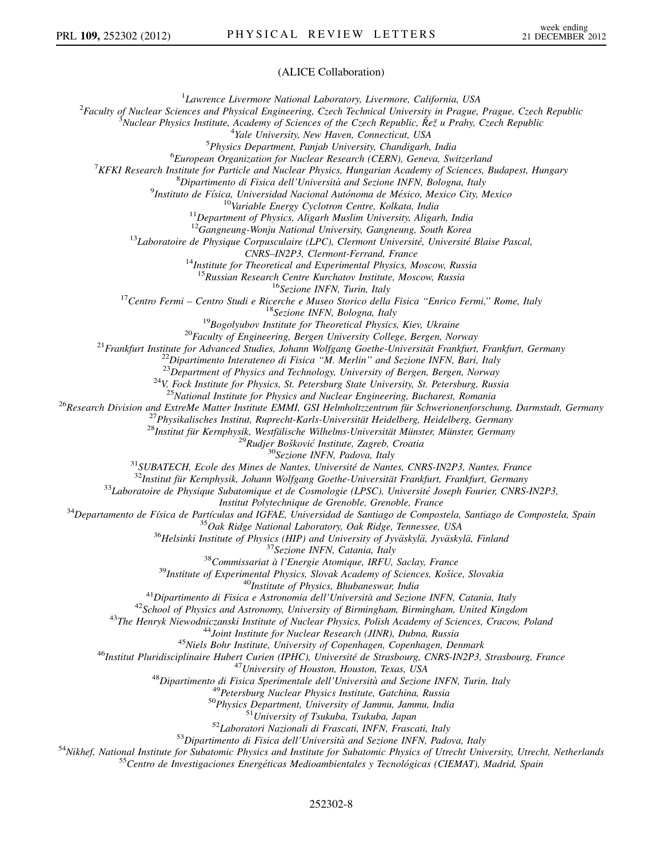(ALICE Collaboration)

 ${}^{1}$ Lawrence Livermore National Laboratory, Livermore, California, USA <sup>1</sup>Lawrence Livermore National Laboratory, Livermore, California, USA<br><sup>2</sup>Eaculty of Nuclear Sciences and Physical Engineering, Czech Technical University in Prague

Faculty of Nuclear Sciences and Physical Engineering, Czech Technical University in Prague, Prague, Czech Republic<br><sup>3</sup>Nuclear Physics Institute, Academy of Sciences of the Czech Republic *Peč u Prahy Czech Republic* 

 $\delta$ Nuclear Physics Institute, Academy of Sciences of the Czech Republic, Řež $u$  Prahy, Czech Republic

<sup>4</sup>Yale University, New Haven, Connecticut, USA<br><sup>5</sup>Physics Department, Panjab University, Chandigarh, India

 ${}^{6}$ European Organization for Nuclear Research (CERN), Geneva, Switzerland <sup>6</sup>European Organization for Nuclear Research (CERN), Geneva, Switzerland<br><sup>7</sup>KEKL Research Institute for Particle and Nuclear Physics, Hungarian Academy of Sciences, E

KFKI Research Institute for Particle and Nuclear Physics, Hungarian Academy of Sciences, Budapest, Hungary<br><sup>8</sup>Dinartimento di Fisica dell'Università and Sazione INEN, Bologna, Italy

 ${}^{8}$ Dipartimento di Fisica dell'Università and Sezione INFN, Bologna, Italy

<sup>9</sup>Instituto de Física, Universidad Nacional Autónoma de México, Mexico City, Mexico<br><sup>10</sup>Variable Energy Cyclotron Centre, Kolkata, India<br><sup>11</sup>Department of Physics, Aligarh Muslim University, Aligarh, India<br><sup>12</sup>Gangneung-

<sup>13</sup>Laboratoire de Physique Corpusculaire (LPC), Clermont Université, Université Blaise Pascal,<br>CNRS–IN2P3, Clermont-Ferrand, France

<sup>14</sup>Institute for Theoretical and Experimental Physics, Moscow, Russia<br><sup>15</sup>Russian Research Centre Kurchatov Institute, Moscow, Russia

<sup>16</sup>Sezione INFN, Turin, Italy<br><sup>17</sup>Centro Fermi – Centro Studi e Ricerche e Museo Storico della Fisica "Enrico Fermi," Rome, Italy<br><sup>18</sup>Sezione INFN, Bologna, Italy<br><sup>18</sup>Bogolyubov Institute for Theoretical Physics, Kiev, U

<sup>24</sup>V. Fock Institute for Physics, St. Petersburg State University, St. Petersburg, Russia<br><sup>25</sup>National Institute for Physics and Nuclear Engineering, Bucharest, Romania

<sup>26</sup>Research Division and ExtreMe Matter Institute EMMI, GSI Helmholtzzentrum für Schwerionenforschung, Darmstadt, Germany<br><sup>27</sup>Physikalisches Institut, Ruprecht-Karls-Universität Heidelberg, Heidelberg, Germany<br><sup>28</sup>Instit

<sup>34</sup> Departamento de Física de Particulas and IGreAle. Universidad de Santiago de Compostela, Santiago de Compostela, Spain<br><sup>35</sup>Oak Ridge National Laboratory, Oak Ridge, Tennessee, USA<br><sup>35</sup>Oak Ridge National Laboratory, Oa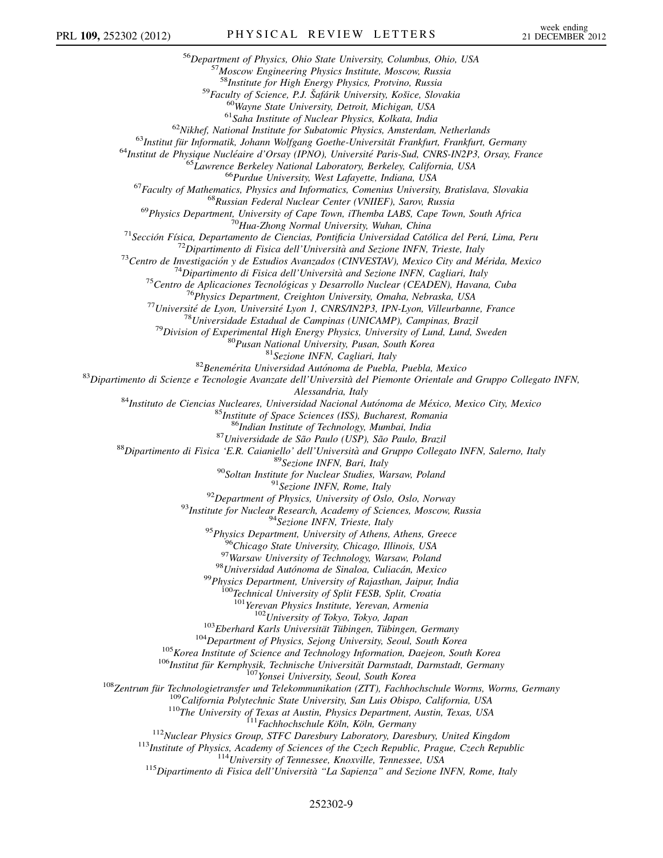<sup>56</sup>Department of Physics, Ohio State University, Columbus, Ohio, USA<br><sup>57</sup>Moscow Engineering Physics Institute, Moscow, Russia<br><sup>58</sup>Institute for High Energy Physics, Protvino, Russia <sup>58</sup> Institute for High Energy Physics, Protoino, Russia<br>
<sup>98</sup> Institute for High Energy Physics, Protoino, Russia<br>
<sup>99</sup> Science, P.J. Safarik University, Kolickac, India<br>
<sup>63</sup> Vikingh Institute of Nuclear Physics, Kolicki Alessandria, Italy<br>
<sup>Alessandria, Italy<br>
<sup>85</sup>Institute of Space Sciences (ISS), Bucharest, Romania<br>
<sup>85</sup>Institute of Space Sciences (ISS), Bucharest, Romania<br>
<sup>86</sup>Indian Institute of Technology, Mumbai, India<br>
<sup>85</sup>Institut</sup>  $108\% \text{Zentrum für Technical University of Split FESB, Split, Croatia  
\n (101) \text{Iniversity of Tokyo, Japan  
\n (102) \text{Iniversity of Tokyo, Japan  
\n (103) \text{Eberhard Karls University of Tokyo, Japan  
\n (104) \text{Department of Physics, Sejong University, Seoul, South Korea  
\n (105) \text{Korea Institute of Science and Technology Information, Daejeon, South Korea  
\n (106) \text{Institut für Kernphys, Reul, North's  
\n (107) \text{Yonsei University, Leonil, South Korea  
\n (108) \text{Vonsei University, Seoul, South Korea  
\n (109) \text{Vonsei University,$